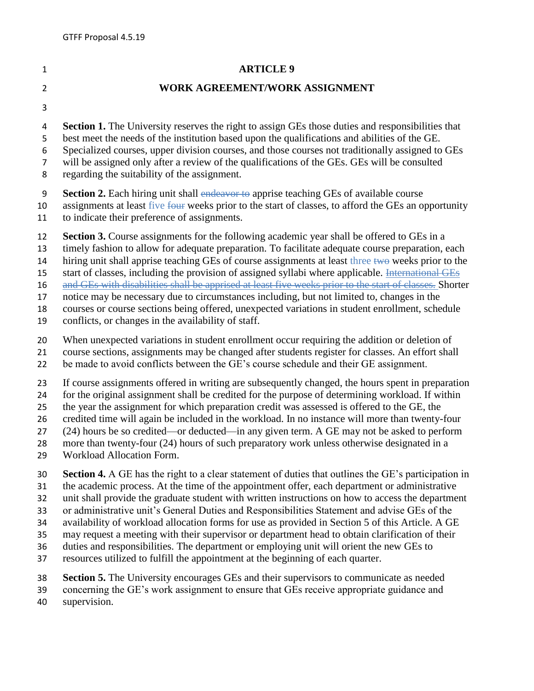## **ARTICLE 9**

## **WORK AGREEMENT/WORK ASSIGNMENT**

**Section 1.** The University reserves the right to assign GEs those duties and responsibilities that

best meet the needs of the institution based upon the qualifications and abilities of the GE.

Specialized courses, upper division courses, and those courses not traditionally assigned to GEs

will be assigned only after a review of the qualifications of the GEs. GEs will be consulted

regarding the suitability of the assignment.

**Section 2.** Each hiring unit shall endeavor to apprise teaching GEs of available course

10 assignments at least five four weeks prior to the start of classes, to afford the GEs an opportunity

to indicate their preference of assignments.

**Section 3.** Course assignments for the following academic year shall be offered to GEs in a

timely fashion to allow for adequate preparation. To facilitate adequate course preparation, each

14 hiring unit shall apprise teaching GEs of course assignments at least three two weeks prior to the

15 start of classes, including the provision of assigned syllabi where applicable. International GEs

and GEs with disabilities shall be apprised at least five weeks prior to the start of classes. Shorter

notice may be necessary due to circumstances including, but not limited to, changes in the

 courses or course sections being offered, unexpected variations in student enrollment, schedule conflicts, or changes in the availability of staff.

 When unexpected variations in student enrollment occur requiring the addition or deletion of course sections, assignments may be changed after students register for classes. An effort shall

be made to avoid conflicts between the GE's course schedule and their GE assignment.

If course assignments offered in writing are subsequently changed, the hours spent in preparation

for the original assignment shall be credited for the purpose of determining workload. If within

 the year the assignment for which preparation credit was assessed is offered to the GE, the credited time will again be included in the workload. In no instance will more than twenty-four

(24) hours be so credited—or deducted—in any given term. A GE may not be asked to perform

more than twenty-four (24) hours of such preparatory work unless otherwise designated in a

Workload Allocation Form.

**Section 4.** A GE has the right to a clear statement of duties that outlines the GE's participation in

the academic process. At the time of the appointment offer, each department or administrative

unit shall provide the graduate student with written instructions on how to access the department

or administrative unit's General Duties and Responsibilities Statement and advise GEs of the

availability of workload allocation forms for use as provided in Section 5 of this Article. A GE

may request a meeting with their supervisor or department head to obtain clarification of their

duties and responsibilities. The department or employing unit will orient the new GEs to

resources utilized to fulfill the appointment at the beginning of each quarter.

**Section 5.** The University encourages GEs and their supervisors to communicate as needed

concerning the GE's work assignment to ensure that GEs receive appropriate guidance and

supervision.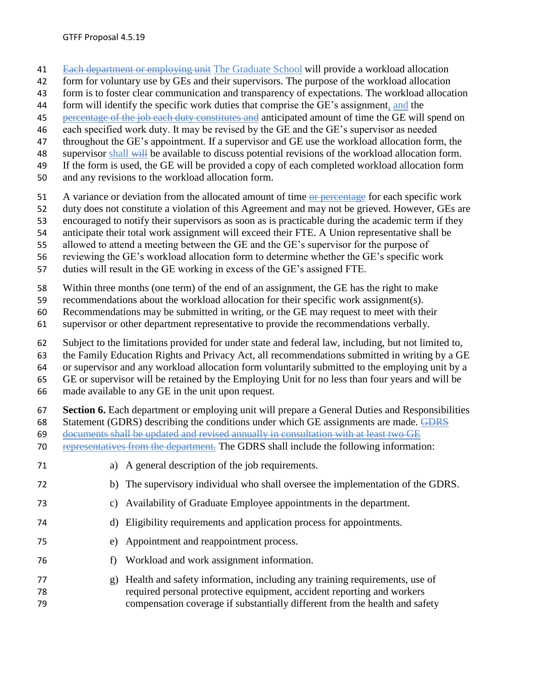- Each department or employing unit The Graduate School will provide a workload allocation
- form for voluntary use by GEs and their supervisors. The purpose of the workload allocation
- form is to foster clear communication and transparency of expectations. The workload allocation
- form will identify the specific work duties that comprise the GE's assignment, and the
- 45 percentage of the job each duty constitutes and anticipated amount of time the GE will spend on
- each specified work duty. It may be revised by the GE and the GE's supervisor as needed
- throughout the GE's appointment. If a supervisor and GE use the workload allocation form, the
- 48 supervisor shall will be available to discuss potential revisions of the workload allocation form.
- If the form is used, the GE will be provided a copy of each completed workload allocation form
- and any revisions to the workload allocation form.
- 51 A variance or deviation from the allocated amount of time or percentage for each specific work
- duty does not constitute a violation of this Agreement and may not be grieved. However, GEs are
- encouraged to notify their supervisors as soon as is practicable during the academic term if they
- anticipate their total work assignment will exceed their FTE. A Union representative shall be
- allowed to attend a meeting between the GE and the GE's supervisor for the purpose of
- reviewing the GE's workload allocation form to determine whether the GE's specific work
- duties will result in the GE working in excess of the GE's assigned FTE.
- Within three months (one term) of the end of an assignment, the GE has the right to make
- recommendations about the workload allocation for their specific work assignment(s).
- Recommendations may be submitted in writing, or the GE may request to meet with their
- supervisor or other department representative to provide the recommendations verbally.
- Subject to the limitations provided for under state and federal law, including, but not limited to,
- the Family Education Rights and Privacy Act, all recommendations submitted in writing by a GE
- or supervisor and any workload allocation form voluntarily submitted to the employing unit by a
- GE or supervisor will be retained by the Employing Unit for no less than four years and will be
- made available to any GE in the unit upon request.
- **Section 6.** Each department or employing unit will prepare a General Duties and Responsibilities
- Statement (GDRS) describing the conditions under which GE assignments are made. GDRS
- documents shall be updated and revised annually in consultation with at least two GE
- 70 representatives from the department. The GDRS shall include the following information:
- a) A general description of the job requirements.
- b) The supervisory individual who shall oversee the implementation of the GDRS.
- c) Availability of Graduate Employee appointments in the department.
- d) Eligibility requirements and application process for appointments.
- e) Appointment and reappointment process.
- f) Workload and work assignment information.
- g) Health and safety information, including any training requirements, use of required personal protective equipment, accident reporting and workers compensation coverage if substantially different from the health and safety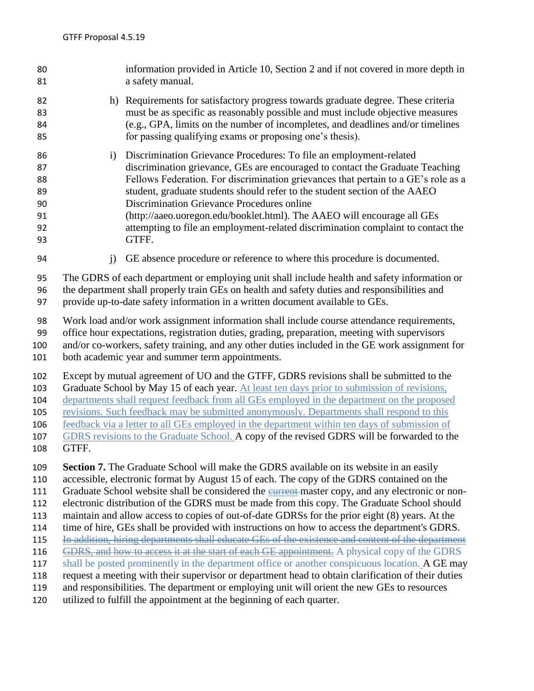information provided in Article 10, Section 2 and if not covered in more depth in a safety manual. h) Requirements for satisfactory progress towards graduate degree. These criteria must be as specific as reasonably possible and must include objective measures (e.g., GPA, limits on the number of incompletes, and deadlines and/or timelines for passing qualifying exams or proposing one's thesis). i) Discrimination Grievance Procedures: To file an employment-related discrimination grievance, GEs are encouraged to contact the Graduate Teaching Fellows Federation. For discrimination grievances that pertain to a GE's role as a student, graduate students should refer to the student section of the AAEO Discrimination Grievance Procedures online (http://aaeo.uoregon.edu/booklet.html). The AAEO will encourage all GEs attempting to file an employment-related discrimination complaint to contact the GTFF. j) GE absence procedure or reference to where this procedure is documented. The GDRS of each department or employing unit shall include health and safety information or the department shall properly train GEs on health and safety duties and responsibilities and provide up-to-date safety information in a written document available to GEs. Work load and/or work assignment information shall include course attendance requirements, office hour expectations, registration duties, grading, preparation, meeting with supervisors and/or co-workers, safety training, and any other duties included in the GE work assignment for both academic year and summer term appointments. Except by mutual agreement of UO and the GTFF, GDRS revisions shall be submitted to the 103 Graduate School by May 15 of each year. At least ten days prior to submission of revisions, departments shall request feedback from all GEs employed in the department on the proposed revisions. Such feedback may be submitted anonymously. Departments shall respond to this feedback via a letter to all GEs employed in the department within ten days of submission of 107 GDRS revisions to the Graduate School. A copy of the revised GDRS will be forwarded to the GTFF. **Section 7.** The Graduate School will make the GDRS available on its website in an easily accessible, electronic format by August 15 of each. The copy of the GDRS contained on the 111 Graduate School website shall be considered the eurrent-master copy, and any electronic or non- electronic distribution of the GDRS must be made from this copy. The Graduate School should maintain and allow access to copies of out-of-date GDRSs for the prior eight (8) years. At the time of hire, GEs shall be provided with instructions on how to access the department's GDRS. 115 In addition, hiring departments shall educate GEs of the existence and content of the department 116 GDRS, and how to access it at the start of each GE appointment. A physical copy of the GDRS 117 shall be posted prominently in the department office or another conspicuous location. A GE may request a meeting with their supervisor or department head to obtain clarification of their duties and responsibilities. The department or employing unit will orient the new GEs to resources utilized to fulfill the appointment at the beginning of each quarter.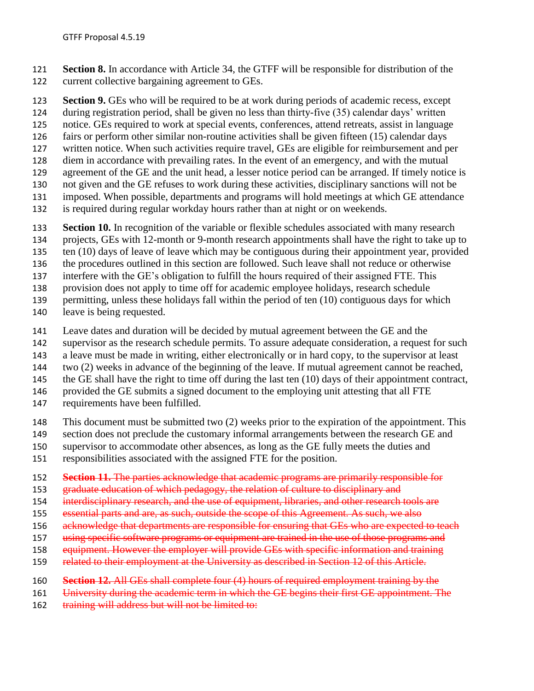**Section 8.** In accordance with Article 34, the GTFF will be responsible for distribution of the current collective bargaining agreement to GEs.

 **Section 9.** GEs who will be required to be at work during periods of academic recess, except during registration period, shall be given no less than thirty-five (35) calendar days' written

notice. GEs required to work at special events, conferences, attend retreats, assist in language

fairs or perform other similar non-routine activities shall be given fifteen (15) calendar days

- written notice. When such activities require travel, GEs are eligible for reimbursement and per
- diem in accordance with prevailing rates. In the event of an emergency, and with the mutual
- agreement of the GE and the unit head, a lesser notice period can be arranged. If timely notice is
- not given and the GE refuses to work during these activities, disciplinary sanctions will not be
- imposed. When possible, departments and programs will hold meetings at which GE attendance
- is required during regular workday hours rather than at night or on weekends.
- **Section 10.** In recognition of the variable or flexible schedules associated with many research
- projects, GEs with 12-month or 9-month research appointments shall have the right to take up to
- ten (10) days of leave of leave which may be contiguous during their appointment year, provided
- the procedures outlined in this section are followed. Such leave shall not reduce or otherwise
- interfere with the GE's obligation to fulfill the hours required of their assigned FTE. This
- provision does not apply to time off for academic employee holidays, research schedule
- permitting, unless these holidays fall within the period of ten (10) contiguous days for which
- leave is being requested.
- Leave dates and duration will be decided by mutual agreement between the GE and the
- supervisor as the research schedule permits. To assure adequate consideration, a request for such
- a leave must be made in writing, either electronically or in hard copy, to the supervisor at least
- two (2) weeks in advance of the beginning of the leave. If mutual agreement cannot be reached,
- the GE shall have the right to time off during the last ten (10) days of their appointment contract,
- provided the GE submits a signed document to the employing unit attesting that all FTE
- requirements have been fulfilled.
- This document must be submitted two (2) weeks prior to the expiration of the appointment. This
- 149 section does not preclude the customary informal arrangements between the research GE and
- supervisor to accommodate other absences, as long as the GE fully meets the duties and
- responsibilities associated with the assigned FTE for the position.
- **Section 11.** The parties acknowledge that academic programs are primarily responsible for
- 153 graduate education of which pedagogy, the relation of culture to disciplinary and
- 154 interdisciplinary research, and the use of equipment, libraries, and other research tools are
- essential parts and are, as such, outside the scope of this Agreement. As such, we also
- 156 acknowledge that departments are responsible for ensuring that GEs who are expected to teach
- 157 using specific software programs or equipment are trained in the use of those programs and
- 158 equipment. However the employer will provide GEs with specific information and training
- 159 related to their employment at the University as described in Section 12 of this Article.
- **Section 12.** All GEs shall complete four (4) hours of required employment training by the
- University during the academic term in which the GE begins their first GE appointment. The
- 162 training will address but will not be limited to: